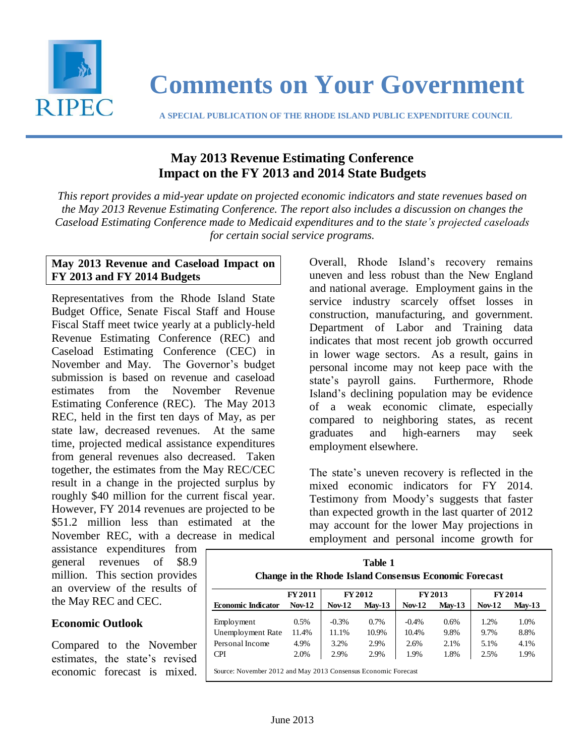

# **Comments on Your Government**

 **A SPECIAL PUBLICATION OF THE RHODE ISLAND PUBLIC EXPENDITURE COUNCIL**

# **May 2013 Revenue Estimating Conference Impact on the FY 2013 and 2014 State Budgets**

*This report provides a mid-year update on projected economic indicators and state revenues based on the May 2013 Revenue Estimating Conference. The report also includes a discussion on changes the Caseload Estimating Conference made to Medicaid expenditures and to the state's projected caseloads for certain social service programs.*

### **May 2013 Revenue and Caseload Impact on FY 2013 and FY 2014 Budgets**

Representatives from the Rhode Island State Budget Office, Senate Fiscal Staff and House Fiscal Staff meet twice yearly at a publicly-held Revenue Estimating Conference (REC) and Caseload Estimating Conference (CEC) in November and May. The Governor's budget submission is based on revenue and caseload estimates from the November Revenue Estimating Conference (REC). The May 2013 REC, held in the first ten days of May, as per state law, decreased revenues. At the same time, projected medical assistance expenditures from general revenues also decreased. Taken together, the estimates from the May REC/CEC result in a change in the projected surplus by roughly \$40 million for the current fiscal year. However, FY 2014 revenues are projected to be \$51.2 million less than estimated at the November REC, with a decrease in medical

assistance expenditures from general revenues of \$8.9 million. This section provides an overview of the results of the May REC and CEC.

# **Economic Outlook**

Compared to the November estimates, the state's revised economic forecast is mixed.

Overall, Rhode Island's recovery remains uneven and less robust than the New England and national average. Employment gains in the service industry scarcely offset losses in construction, manufacturing, and government. Department of Labor and Training data indicates that most recent job growth occurred in lower wage sectors. As a result, gains in personal income may not keep pace with the state's payroll gains. Furthermore, Rhode Island's declining population may be evidence of a weak economic climate, especially compared to neighboring states, as recent graduates and high-earners may seek employment elsewhere.

The state's uneven recovery is reflected in the mixed economic indicators for FY 2014. Testimony from Moody's suggests that faster than expected growth in the last quarter of 2012 may account for the lower May projections in employment and personal income growth for

| Table 1<br><b>Change in the Rhode Island Consensus Economic Forecast</b> |                |          |          |               |          |               |          |  |
|--------------------------------------------------------------------------|----------------|----------|----------|---------------|----------|---------------|----------|--|
|                                                                          | <b>FY 2011</b> |          | FY 2012  | <b>FY2013</b> |          | FY 2014       |          |  |
| <b>Economic Indicator</b>                                                | $Nov-12$       | $Nov-12$ | $Mav-13$ | <b>Nov-12</b> | $Mav-13$ | <b>Nov-12</b> | $Mav-13$ |  |
| Employment                                                               | 0.5%           | $-0.3%$  | $0.7\%$  | $-0.4%$       | 0.6%     | 1.2%          | 1.0%     |  |
| Unemployment Rate                                                        | 11.4%          | 11.1%    | 10.9%    | 10.4%         | 9.8%     | 9.7%          | 8.8%     |  |
| Personal Income                                                          | 4.9%           | 3.2%     | 2.9%     | 2.6%          | 2.1%     | 5.1%          | 4.1%     |  |
| <b>CPI</b>                                                               | 2.0%           | 2.9%     | 2.9%     | 1.9%          | 1.8%     | 2.5%          | 1.9%     |  |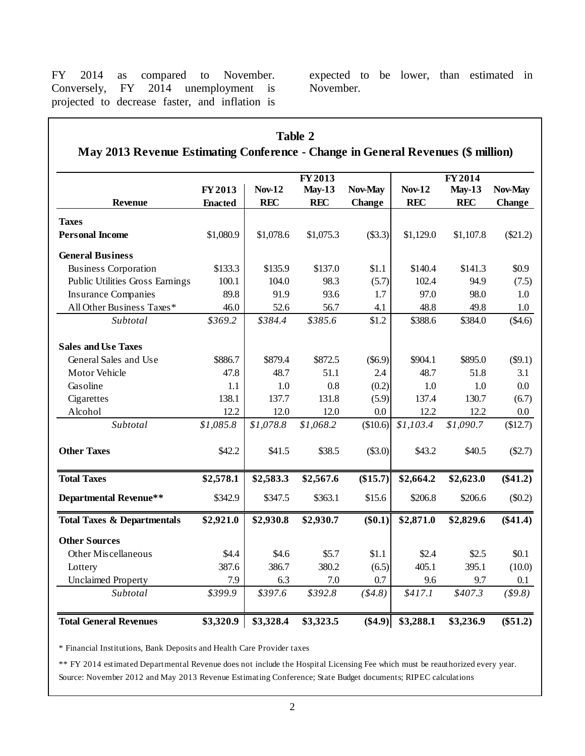FY 2014 as compared to November. Conversely, FY 2014 unemployment is projected to decrease faster, and inflation is

expected to be lower, than estimated in November.

|                                                                                  |                |               | <b>Table 2</b> |           |               |            |               |
|----------------------------------------------------------------------------------|----------------|---------------|----------------|-----------|---------------|------------|---------------|
| May 2013 Revenue Estimating Conference - Change in General Revenues (\$ million) |                |               |                |           |               |            |               |
|                                                                                  |                |               | FY 2013        | FY 2014   |               |            |               |
|                                                                                  | FY 2013        | <b>Nov-12</b> | $May-13$       | Nov-May   | <b>Nov-12</b> | $May-13$   | Nov-May       |
| <b>Revenue</b>                                                                   | <b>Enacted</b> | <b>REC</b>    | <b>REC</b>     | Change    | <b>REC</b>    | <b>REC</b> | <b>Change</b> |
| <b>Taxes</b>                                                                     |                |               |                |           |               |            |               |
| <b>Personal Income</b>                                                           | \$1,080.9      | \$1,078.6     | \$1,075.3      | (\$3.3)   | \$1,129.0     | \$1,107.8  | $(\$21.2)$    |
| <b>General Business</b>                                                          |                |               |                |           |               |            |               |
| <b>Business Corporation</b>                                                      | \$133.3        | \$135.9       | \$137.0        | \$1.1     | \$140.4       | \$141.3    | \$0.9\$       |
| Public Utilities Gross Earnings                                                  | 100.1          | 104.0         | 98.3           | (5.7)     | 102.4         | 94.9       | (7.5)         |
| <b>Insurance Companies</b>                                                       | 89.8           | 91.9          | 93.6           | 1.7       | 97.0          | 98.0       | 1.0           |
| All Other Business Taxes*                                                        | 46.0           | 52.6          | 56.7           | 4.1       | 48.8          | 49.8       | 1.0           |
| Subtotal                                                                         | \$369.2        | \$384.4       | \$385.6        | \$1.2     | \$388.6       | \$384.0    | (\$4.6)       |
| <b>Sales and Use Taxes</b>                                                       |                |               |                |           |               |            |               |
| General Sales and Use                                                            | \$886.7        | \$879.4       | \$872.5        | $(\$6.9)$ | \$904.1       | \$895.0    | $(\$9.1)$     |
| <b>Motor Vehicle</b>                                                             | 47.8           | 48.7          | 51.1           | 2.4       | 48.7          | 51.8       | 3.1           |
| Gasoline                                                                         | 1.1            | 1.0           | 0.8            | (0.2)     | 1.0           | 1.0        | 0.0           |
| Cigarettes                                                                       | 138.1          | 137.7         | 131.8          | (5.9)     | 137.4         | 130.7      | (6.7)         |
| Alcohol                                                                          | 12.2           | 12.0          | 12.0           | $0.0\,$   | 12.2          | 12.2       | $0.0\,$       |
| Subtotal                                                                         | \$1,085.8      | \$1,078.8     | \$1,068.2      | (\$10.6)  | \$1,103.4     | \$1,090.7  | \$12.7        |
| <b>Other Taxes</b>                                                               | \$42.2         | \$41.5        | \$38.5         | (\$3.0)   | \$43.2        | \$40.5     | (\$2.7)       |
| <b>Total Taxes</b>                                                               | \$2,578.1      | \$2,583.3     | \$2,567.6      | (\$15.7)  | \$2,664.2     | \$2,623.0  | $(\$41.2)$    |
| <b>Departmental Revenue**</b>                                                    | \$342.9        | \$347.5       | \$363.1        | \$15.6    | \$206.8       | \$206.6    | $(\$0.2)$     |
| <b>Total Taxes &amp; Departmentals</b>                                           | \$2,921.0      | \$2,930.8     | \$2,930.7      | $(\$0.1)$ | \$2,871.0     | \$2,829.6  | $(\$41.4)$    |
| <b>Other Sources</b>                                                             |                |               |                |           |               |            |               |
| Other Miscellaneous                                                              | \$4.4          | \$4.6         | \$5.7          | \$1.1     | \$2.4         | \$2.5      | \$0.1         |
| Lottery                                                                          | 387.6          | 386.7         | 380.2          | (6.5)     | 405.1         | 395.1      | (10.0)        |
| <b>Unclaimed Property</b>                                                        | 7.9            | 6.3           | 7.0            | $0.7\,$   | 9.6           | 9.7        | 0.1           |
| Subtotal                                                                         | \$399.9        | \$397.6       | \$392.8        | (\$4.8)   | \$417.1       | \$407.3    | \$9.8)        |
| <b>Total General Revenues</b>                                                    | \$3,320.9      | \$3,328.4     | \$3,323.5      | $(\$4.9)$ | \$3,288.1     | \$3,236.9  | $(\$51.2)$    |

\* Financial Institutions, Bank Deposits and Health Care Provider taxes

Source: November 2012 and May 2013 Revenue Estimating Conference; State Budget documents; RIPEC calculations \*\* FY 2014 estimated Departmental Revenue does not include the Hospital Licensing Fee which must be reauthorized every year.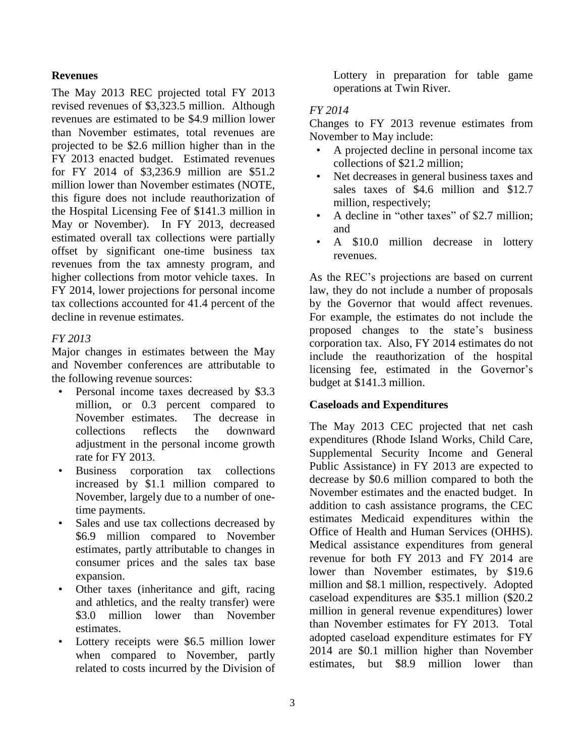#### **Revenues**

The May 2013 REC projected total FY 2013 revised revenues of \$3,323.5 million. Although revenues are estimated to be \$4.9 million lower than November estimates, total revenues are projected to be \$2.6 million higher than in the FY 2013 enacted budget. Estimated revenues for FY 2014 of \$3,236.9 million are \$51.2 million lower than November estimates (NOTE, this figure does not include reauthorization of the Hospital Licensing Fee of \$141.3 million in May or November). In FY 2013, decreased estimated overall tax collections were partially offset by significant one-time business tax revenues from the tax amnesty program, and higher collections from motor vehicle taxes. In FY 2014, lower projections for personal income tax collections accounted for 41.4 percent of the decline in revenue estimates.

#### *FY 2013*

Major changes in estimates between the May and November conferences are attributable to the following revenue sources:

- Personal income taxes decreased by \$3.3 million, or 0.3 percent compared to November estimates. The decrease in collections reflects the downward adjustment in the personal income growth rate for FY 2013.
- Business corporation tax collections increased by \$1.1 million compared to November, largely due to a number of onetime payments.
- Sales and use tax collections decreased by \$6.9 million compared to November estimates, partly attributable to changes in consumer prices and the sales tax base expansion.
- Other taxes (inheritance and gift, racing and athletics, and the realty transfer) were \$3.0 million lower than November estimates.
- Lottery receipts were \$6.5 million lower when compared to November, partly related to costs incurred by the Division of

Lottery in preparation for table game operations at Twin River.

#### *FY 2014*

Changes to FY 2013 revenue estimates from November to May include:

- A projected decline in personal income tax collections of \$21.2 million;
- Net decreases in general business taxes and sales taxes of \$4.6 million and \$12.7 million, respectively;
- A decline in "other taxes" of \$2.7 million; and
- A \$10.0 million decrease in lottery revenues.

As the REC's projections are based on current law, they do not include a number of proposals by the Governor that would affect revenues. For example, the estimates do not include the proposed changes to the state's business corporation tax. Also, FY 2014 estimates do not include the reauthorization of the hospital licensing fee, estimated in the Governor's budget at \$141.3 million.

#### **Caseloads and Expenditures**

The May 2013 CEC projected that net cash expenditures (Rhode Island Works, Child Care, Supplemental Security Income and General Public Assistance) in FY 2013 are expected to decrease by \$0.6 million compared to both the November estimates and the enacted budget. In addition to cash assistance programs, the CEC estimates Medicaid expenditures within the Office of Health and Human Services (OHHS). Medical assistance expenditures from general revenue for both FY 2013 and FY 2014 are lower than November estimates, by \$19.6 million and \$8.1 million, respectively. Adopted caseload expenditures are \$35.1 million (\$20.2 million in general revenue expenditures) lower than November estimates for FY 2013. Total adopted caseload expenditure estimates for FY 2014 are \$0.1 million higher than November estimates, but \$8.9 million lower than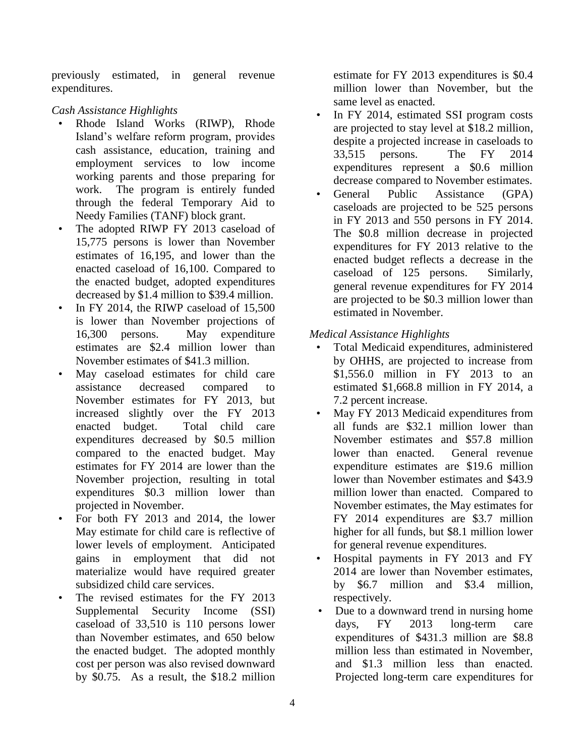previously estimated, in general revenue expenditures.

# *Cash Assistance Highlights*

- Rhode Island Works (RIWP), Rhode Island's welfare reform program, provides cash assistance, education, training and employment services to low income working parents and those preparing for work. The program is entirely funded through the federal Temporary Aid to Needy Families (TANF) block grant.
- The adopted RIWP FY 2013 caseload of 15,775 persons is lower than November estimates of 16,195, and lower than the enacted caseload of 16,100. Compared to the enacted budget, adopted expenditures decreased by \$1.4 million to \$39.4 million.
- In FY 2014, the RIWP caseload of 15,500 is lower than November projections of 16,300 persons. May expenditure estimates are \$2.4 million lower than November estimates of \$41.3 million.
- May caseload estimates for child care assistance decreased compared to November estimates for FY 2013, but increased slightly over the FY 2013 enacted budget. Total child care expenditures decreased by \$0.5 million compared to the enacted budget. May estimates for FY 2014 are lower than the November projection, resulting in total expenditures \$0.3 million lower than projected in November.
- For both FY 2013 and 2014, the lower May estimate for child care is reflective of lower levels of employment. Anticipated gains in employment that did not materialize would have required greater subsidized child care services.
- The revised estimates for the FY 2013 Supplemental Security Income (SSI) caseload of 33,510 is 110 persons lower than November estimates, and 650 below the enacted budget. The adopted monthly cost per person was also revised downward by \$0.75. As a result, the \$18.2 million

estimate for FY 2013 expenditures is \$0.4 million lower than November, but the same level as enacted.

- In FY 2014, estimated SSI program costs are projected to stay level at \$18.2 million, despite a projected increase in caseloads to 33,515 persons. The FY 2014 expenditures represent a \$0.6 million decrease compared to November estimates.
- General Public Assistance (GPA) caseloads are projected to be 525 persons in FY 2013 and 550 persons in FY 2014. The \$0.8 million decrease in projected expenditures for FY 2013 relative to the enacted budget reflects a decrease in the caseload of 125 persons. Similarly, general revenue expenditures for FY 2014 are projected to be \$0.3 million lower than estimated in November.

# *Medical Assistance Highlights*

- Total Medicaid expenditures, administered by OHHS, are projected to increase from \$1,556.0 million in FY 2013 to an estimated \$1,668.8 million in FY 2014, a 7.2 percent increase.
- May FY 2013 Medicaid expenditures from all funds are \$32.1 million lower than November estimates and \$57.8 million lower than enacted. General revenue expenditure estimates are \$19.6 million lower than November estimates and \$43.9 million lower than enacted. Compared to November estimates, the May estimates for FY 2014 expenditures are \$3.7 million higher for all funds, but \$8.1 million lower for general revenue expenditures.
- Hospital payments in FY 2013 and FY 2014 are lower than November estimates, by \$6.7 million and \$3.4 million, respectively.
- Due to a downward trend in nursing home days, FY 2013 long-term care expenditures of \$431.3 million are \$8.8 million less than estimated in November, and \$1.3 million less than enacted. Projected long-term care expenditures for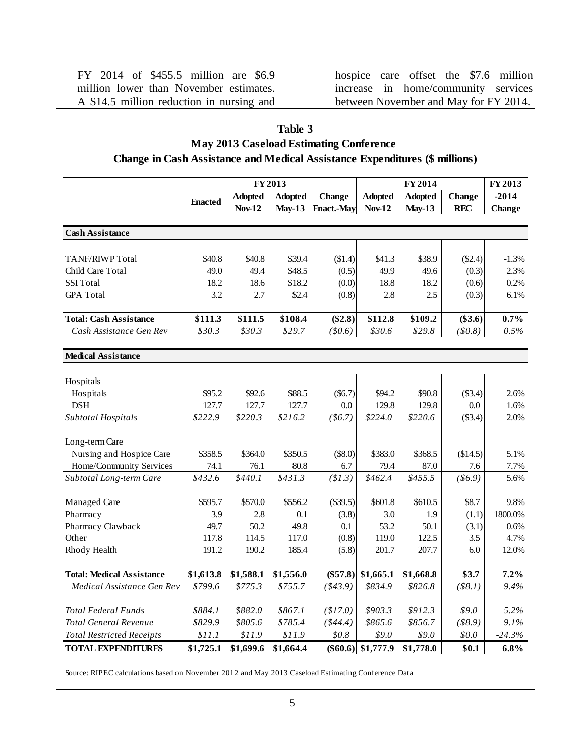FY 2014 of \$455.5 million are \$6.9 million lower than November estimates. A \$14.5 million reduction in nursing and hospice care offset the \$7.6 million increase in home/community services between November and May for FY 2014.

| Table 3<br><b>May 2013 Caseload Estimating Conference</b>                          |                |                                 |                                            |                                    |                                 |                                       |                             |                                     |
|------------------------------------------------------------------------------------|----------------|---------------------------------|--------------------------------------------|------------------------------------|---------------------------------|---------------------------------------|-----------------------------|-------------------------------------|
| <b>Change in Cash Assistance and Medical Assistance Expenditures (\$ millions)</b> |                |                                 |                                            |                                    |                                 |                                       |                             |                                     |
|                                                                                    | <b>Enacted</b> | <b>Adopted</b><br><b>Nov-12</b> | FY 2013<br><b>Adopted</b><br><b>May-13</b> | <b>Change</b><br><b>Enact.-May</b> | <b>Adopted</b><br><b>Nov-12</b> | FY 2014<br><b>Adopted</b><br>$May-13$ | <b>Change</b><br><b>REC</b> | FY 2013<br>$-2014$<br><b>Change</b> |
| <b>Cash Assistance</b>                                                             |                |                                 |                                            |                                    |                                 |                                       |                             |                                     |
| <b>TANF/RIWP</b> Total                                                             | \$40.8         | \$40.8                          | \$39.4                                     | \$1.4)                             | \$41.3                          | \$38.9                                | $(\$2.4)$                   | $-1.3%$                             |
| Child Care Total                                                                   | 49.0           | 49.4                            | \$48.5                                     | (0.5)                              | 49.9                            | 49.6                                  | (0.3)                       | 2.3%                                |
| <b>SSI</b> Total                                                                   | 18.2           | 18.6                            | \$18.2                                     | (0.0)                              | 18.8                            | 18.2                                  | (0.6)                       | 0.2%                                |
| <b>GPA</b> Total                                                                   | 3.2            | 2.7                             | \$2.4                                      | (0.8)                              | 2.8                             | 2.5                                   | (0.3)                       | 6.1%                                |
| <b>Total: Cash Assistance</b>                                                      | \$111.3        | \$111.5                         | \$108.4                                    | $(\$2.8)$                          | \$112.8                         | \$109.2                               | $(\$3.6)$                   | $0.7\%$                             |
| Cash Assistance Gen Rev                                                            | \$30.3         | \$30.3\$                        | \$29.7                                     | (\$0.6)                            | \$30.6                          | \$29.8                                | (50.8)                      | 0.5%                                |
| <b>Medical Assistance</b>                                                          |                |                                 |                                            |                                    |                                 |                                       |                             |                                     |
|                                                                                    |                |                                 |                                            |                                    |                                 |                                       |                             |                                     |
| Hospitals                                                                          |                |                                 |                                            |                                    |                                 |                                       |                             |                                     |
| Hospitals                                                                          | \$95.2         | \$92.6                          | \$88.5                                     | $(\$6.7)$                          | \$94.2                          | \$90.8                                | (\$3.4)                     | 2.6%                                |
| <b>DSH</b>                                                                         | 127.7          | 127.7                           | 127.7                                      | 0.0                                | 129.8                           | 129.8                                 | 0.0                         | 1.6%                                |
| Subtotal Hospitals                                                                 | \$222.9        | \$220.3\$                       | \$216.2                                    | ( \$6.7)                           | \$224.0                         | \$220.6                               | (\$3.4)                     | 2.0%                                |
| Long-term Care                                                                     |                |                                 |                                            |                                    |                                 |                                       |                             |                                     |
| Nursing and Hospice Care                                                           | \$358.5        | \$364.0                         | \$350.5                                    | (\$8.0)                            | \$383.0                         | \$368.5                               | (\$14.5)                    | 5.1%                                |
| Home/Community Services                                                            | 74.1           | 76.1                            | 80.8                                       | 6.7                                | 79.4                            | 87.0                                  | 7.6                         | 7.7%                                |
| Subtotal Long-term Care                                                            | \$432.6        | \$440.1                         | \$431.3\$                                  | (\$1.3)                            | \$462.4                         | \$455.5                               | $($ \$6.9)                  | 5.6%                                |
| Managed Care                                                                       | \$595.7        | \$570.0                         | \$556.2                                    | (\$39.5)                           | \$601.8                         | \$610.5                               | \$8.7                       | 9.8%                                |
| Pharmacy                                                                           | 3.9            | 2.8                             | 0.1                                        | (3.8)                              | 3.0                             | 1.9                                   | (1.1)                       | 1800.0%                             |
| Pharmacy Clawback                                                                  | 49.7           | 50.2                            | 49.8                                       | 0.1                                | 53.2                            | 50.1                                  | (3.1)                       | 0.6%                                |
| Other                                                                              | 117.8          | 114.5                           | 117.0                                      | (0.8)                              | 119.0                           | 122.5                                 | 3.5                         | 4.7%                                |
| Rhody Health                                                                       | 191.2          | 190.2                           | 185.4                                      | (5.8)                              | 201.7                           | 207.7                                 | $6.0\,$                     | 12.0%                               |
| <b>Total: Medical Assistance</b>                                                   | \$1,613.8      | \$1,588.1                       | \$1,556.0                                  | $(\$57.8)$                         | \$1,665.1                       | \$1,668.8                             | \$3.7                       | $7.2\%$                             |
| Medical Assistance Gen Rev                                                         | \$799.6        | \$775.3                         | \$755.7                                    | $(*43.9)$                          | \$834.9                         | \$826.8                               | (\$8.1)                     | 9.4%                                |
| <b>Total Federal Funds</b>                                                         | \$884.1        | \$882.0                         | \$867.1                                    | (\$17.0)                           | \$903.3                         | \$912.3                               | \$9.0                       | 5.2%                                |
| <b>Total General Revenue</b>                                                       | \$829.9        | \$805.6                         | \$785.4                                    | ( \$44.4)                          | \$865.6                         | \$856.7                               | (\$8.9)                     | 9.1%                                |
| <b>Total Restricted Receipts</b>                                                   | \$11.1         | \$11.9                          | \$11.9                                     | \$0.8                              | \$9.0                           | \$9.0                                 | \$0.0                       | $-24.3\%$                           |
| <b>TOTAL EXPENDITURES</b>                                                          | \$1,725.1      | \$1,699.6                       | \$1,664.4                                  |                                    | $($ \$60.6) $  $ \$1,777.9      | \$1,778.0                             | \$0.1                       | $6.8\%$                             |

5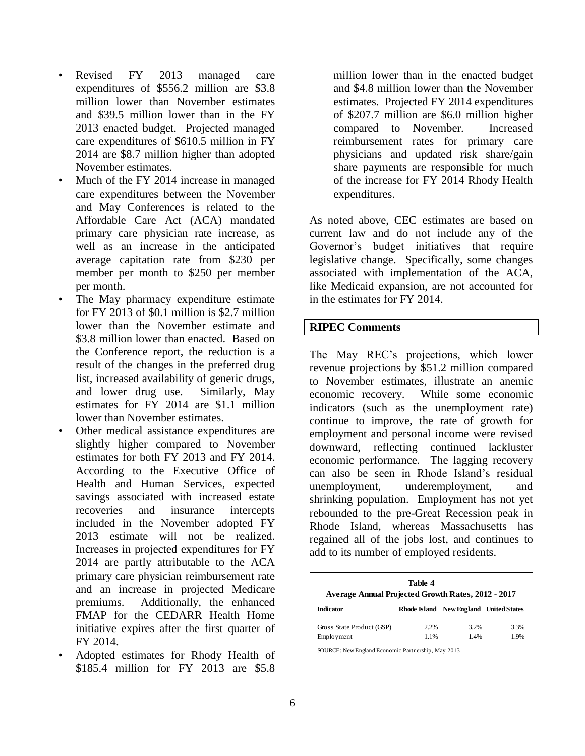- Revised FY 2013 managed care expenditures of \$556.2 million are \$3.8 million lower than November estimates and \$39.5 million lower than in the FY 2013 enacted budget. Projected managed care expenditures of \$610.5 million in FY 2014 are \$8.7 million higher than adopted November estimates.
- Much of the FY 2014 increase in managed care expenditures between the November and May Conferences is related to the Affordable Care Act (ACA) mandated primary care physician rate increase, as well as an increase in the anticipated average capitation rate from \$230 per member per month to \$250 per member per month.
- The May pharmacy expenditure estimate for FY 2013 of \$0.1 million is \$2.7 million lower than the November estimate and \$3.8 million lower than enacted. Based on the Conference report, the reduction is a result of the changes in the preferred drug list, increased availability of generic drugs, and lower drug use. Similarly, May estimates for FY 2014 are \$1.1 million lower than November estimates.
- Other medical assistance expenditures are slightly higher compared to November estimates for both FY 2013 and FY 2014. According to the Executive Office of Health and Human Services, expected savings associated with increased estate recoveries and insurance intercepts included in the November adopted FY 2013 estimate will not be realized. Increases in projected expenditures for FY 2014 are partly attributable to the ACA primary care physician reimbursement rate and an increase in projected Medicare premiums. Additionally, the enhanced FMAP for the CEDARR Health Home initiative expires after the first quarter of FY 2014.
- Adopted estimates for Rhody Health of \$185.4 million for FY 2013 are \$5.8

million lower than in the enacted budget and \$4.8 million lower than the November estimates. Projected FY 2014 expenditures of \$207.7 million are \$6.0 million higher compared to November. Increased reimbursement rates for primary care physicians and updated risk share/gain share payments are responsible for much of the increase for FY 2014 Rhody Health expenditures.

As noted above, CEC estimates are based on current law and do not include any of the Governor's budget initiatives that require legislative change. Specifically, some changes associated with implementation of the ACA, like Medicaid expansion, are not accounted for in the estimates for FY 2014.

#### **RIPEC Comments**

The May REC's projections, which lower revenue projections by \$51.2 million compared to November estimates, illustrate an anemic economic recovery. While some economic indicators (such as the unemployment rate) continue to improve, the rate of growth for employment and personal income were revised downward, reflecting continued lackluster economic performance. The lagging recovery can also be seen in Rhode Island's residual unemployment, underemployment, and shrinking population. Employment has not yet rebounded to the pre-Great Recession peak in Rhode Island, whereas Massachusetts has regained all of the jobs lost, and continues to add to its number of employed residents.

| Table 4<br><b>Average Annual Projected Growth Rates, 2012 - 2017</b> |      |                                        |      |  |  |  |  |
|----------------------------------------------------------------------|------|----------------------------------------|------|--|--|--|--|
| Indicator                                                            |      | Rhode Island New England United States |      |  |  |  |  |
| Gross State Product (GSP)                                            | 2.2% | 3.2%                                   | 3.3% |  |  |  |  |
| Employment                                                           | 1.1% | 1.4%                                   | 1.9% |  |  |  |  |
| SOURCE: New England Economic Partnership, May 2013                   |      |                                        |      |  |  |  |  |